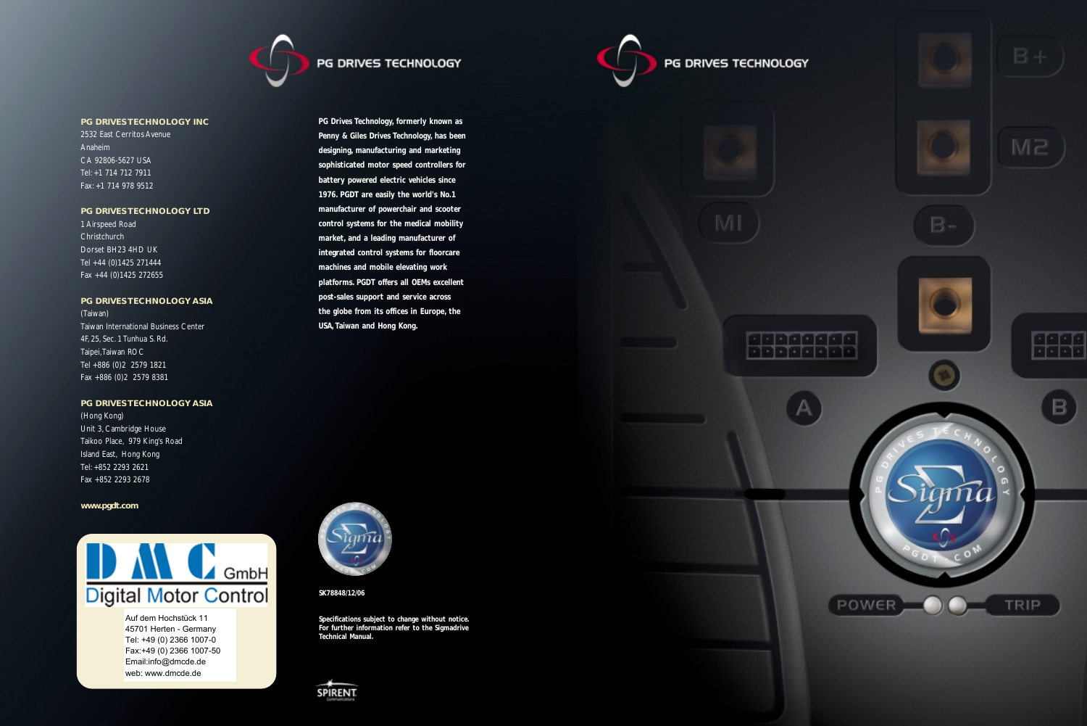

# PG DRIVES TECHNOLOGY

**SK78848/12/06**

**Specifications subject to change without notice. For further information refer to the Sigmadrive Technical Manual.**



# PG DRIVES TECHNOLOGY



**PG Drives Technology, formerly known as Penny & Giles Drives Technology, has been designing, manufacturing and marketing sophisticated motor speed controllers for battery powered electric vehicles since 1976. PGDT are easily the world's No.1 manufacturer of powerchair and scooter control systems for the medical mobility market, and a leading manufacturer of integrated control systems for floorcare machines and mobile elevating work platforms. PGDT offers all OEMs excellent post-sales support and service across the globe from its offices in Europe, the** 

**USA, Taiwan and Hong Kong.**

**PG DRIVES TECHNOLOGY INC**

2532 East Cerritos Avenue Anaheim CA 92806-5627 USA Tel: +1 714 712 7911 Fax: +1 714 978 9512

# **PG DRIVES TECHNOLOGY LTD**

1 Airspeed Road **Christchurch** Dorset BH23 4HD UK Tel +44 (0)1425 271444 Fax +44 (0)1425 272655

## **PG DRIVES TECHNOLOGY ASIA**

(Taiwan) Taiwan International Business Center 4F, 25, Sec. 1 Tunhua S. Rd. Taipei,Taiwan ROC Tel +886 (0)2 2579 1821 Fax +886 (0)2 2579 8381

## **PG DRIVES TECHNOLOGY ASIA**

(Hong Kong) Unit 3, Cambridge House Taikoo Place, 979 King's Road Island East, Hong Kong Tel: +852 2293 2621 Fax +852 2293 2678

**www.pgdt.com**



Auf dem Hochstück 11 45701 Herten - Germany Tel: +49 (0) 2366 1007-0 Fax:+49 (0) 2366 1007-50 Email:info@dmcde.de web: www.dmcde.de

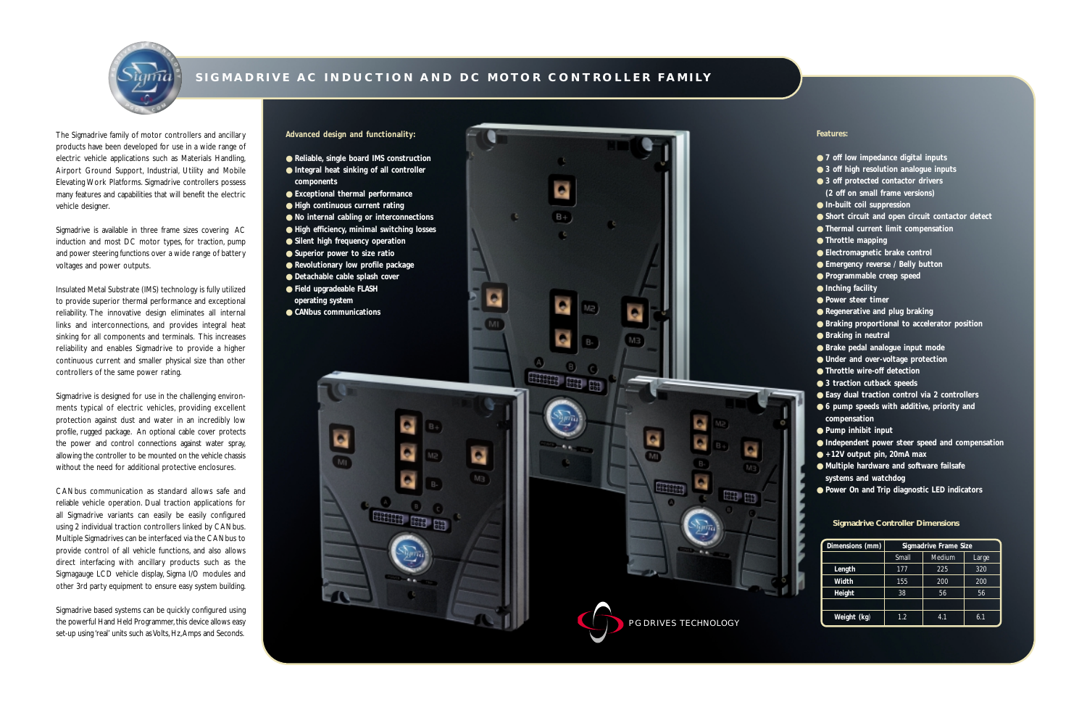The Sigmadrive family of motor controllers and ancillary products have been developed for use in a wide range of electric vehicle applications such as Materials Handling, Airport Ground Support, Industrial, Utility and Mobile Elevating Work Platforms. Sigmadrive controllers possess many features and capabilities that will benefit the electric vehicle designer.

Sigmadrive is available in three frame sizes covering AC induction and most DC motor types, for traction, pump and power steering functions over a wide range of battery voltages and power outputs.

Insulated Metal Substrate (IMS) technology is fully utilized to provide superior thermal performance and exceptional reliability. The innovative design eliminates all internal links and interconnections, and provides integral heat sinking for all components and terminals. This increases reliability and enables Sigmadrive to provide a higher continuous current and smaller physical size than other controllers of the same power rating.

Sigmadrive based systems can be quickly configured using the powerful Hand Held Programmer, this device allows easy set-up using 'real' units such as Volts, Hz, Amps and Seconds.

Sigmadrive is designed for use in the challenging environments typical of electric vehicles, providing excellent protection against dust and water in an incredibly low profile, rugged package. An optional cable cover protects the power and control connections against water spray, allowing the controller to be mounted on the vehicle chassis without the need for additional protective enclosures.

CANbus communication as standard allows safe and reliable vehicle operation. Dual traction applications for all Sigmadrive variants can easily be easily configured using 2 individual traction controllers linked by CANbus. Multiple Sigmadrives can be interfaced via the CANbus to provide control of all vehicle functions, and also allows direct interfacing with ancillary products such as the Sigmagauge LCD vehicle display, Sigma I/O modules and other 3rd party equipment to ensure easy system building.

## **Advanced design and functionality:**

- 
- 
- 
- 
- 
- 
- 
- 
- 
- 
- 
- 
- 
- 



# **SIGMADRIVE AC INDUCTION AND DC MOTOR CONTROLLER FAMILY**

#### **Features:**

- **7** off low impedance digital inputs
- 3 off high resolution analogue inputs
- **3 off protected contactor drivers**
- **(2 off on small frame versions)**
- **In-built coil suppression**
- **Short circuit and open circuit contactor detect**
- **Thermal current limit compensation**
- **Throttle mapping**
- **Electromagnetic brake control**
- **Emergency reverse / Belly button**
- **Programmable creep speed**
- **Inching facility**
- **Power steer timer**
- **Regenerative and plug braking**
- **Braking proportional to accelerator position**
- **Braking in neutral**
- **Brake pedal analogue input mode**
- **Under and over-voltage protection**
- **Throttle wire-off detection**
- 3 traction cutback speeds
- Easy dual traction control via 2 controllers
- **6 pump speeds with additive, priority and**
- **compensation**
- **Pump inhibit input**
- **Independent power steer speed and compensation**
- **+12V output pin, 20mA max**
- **Multiple hardware and software failsafe systems and watchdog**
- Power On and Trip diagnostic LED indicators



| Dimensions (mm) | Sigmadrive Frame Size |        |       |  |
|-----------------|-----------------------|--------|-------|--|
|                 | <b>Small</b>          | Medium | Large |  |
| Length          | 177                   | 225    | 320   |  |
| Width           | 155                   | 200    | 200   |  |
| Height          | 38                    | 56     | 56    |  |
|                 |                       |        |       |  |
| Weight (kg)     | 1.2                   | 4.1    | 6.1   |  |

#### **Sigmadrive Controller Dimensions**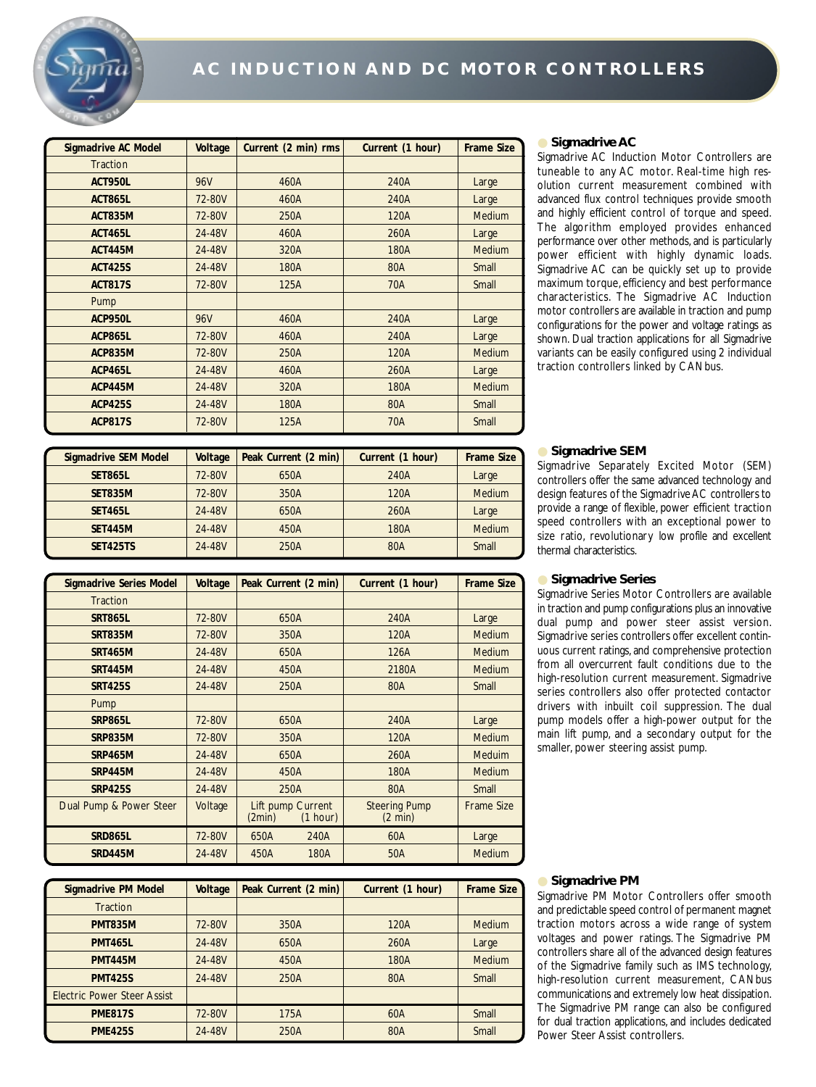

| <b>Sigmadrive AC Model</b> | Voltage    | Current (2 min) rms | Current (1 hour) | <b>Frame Size</b> |
|----------------------------|------------|---------------------|------------------|-------------------|
| <b>Traction</b>            |            |                     |                  |                   |
| <b>ACT950L</b>             | 96V        | 460A                | 240A             | Large             |
| <b>ACT865L</b>             | 72-80V     | 460A                | 240A             | Large             |
| <b>ACT835M</b>             | 72-80V     | 250A                | 120A             | <b>Medium</b>     |
| <b>ACT465L</b>             | 24-48V     | 460A                | 260A             | Large             |
| <b>ACT445M</b>             | 24-48V     | 320A                | 180A             | <b>Medium</b>     |
| <b>ACT425S</b>             | 24-48V     | 180A                | 80A              | Small             |
| <b>ACT817S</b>             | 72-80V     | 125A                | 70A              | Small             |
| Pump                       |            |                     |                  |                   |
| <b>ACP950L</b>             | <b>96V</b> | 460A                | 240A             | Large             |
| <b>ACP865L</b>             | 72-80V     | 460A                | 240A             | Large             |
| <b>ACP835M</b>             | 72-80V     | 250A                | 120A             | <b>Medium</b>     |
| <b>ACP465L</b>             | 24-48V     | 460A                | 260A             | Large             |
| <b>ACP445M</b>             | 24-48V     | 320A                | 180A             | <b>Medium</b>     |
| <b>ACP425S</b>             | 24-48V     | 180A                | 80A              | Small             |
| <b>ACP817S</b>             | 72-80V     | 125A                | 70A              | Small             |

#### ● **Sigmadrive AC**

Sigmadrive AC Induction Motor Controllers are tuneable to any AC motor. Real-time high resolution current measurement combined with advanced flux control techniques provide smooth and highly efficient control of torque and speed. The algorithm employed provides enhanced performance over other methods, and is particularly power efficient with highly dynamic loads. Sigmadrive AC can be quickly set up to provide maximum torque, efficiency and best performance characteristics. The Sigmadrive AC Induction motor controllers are available in traction and pump configurations for the power and voltage ratings as shown. Dual traction applications for all Sigmadrive variants can be easily configured using 2 individual traction controllers linked by CANbus.

| <b>Sigmadrive SEM Model</b> | Voltage | Peak Current (2 min) | Current (1 hour) | <b>Frame Size</b> |
|-----------------------------|---------|----------------------|------------------|-------------------|
| <b>SET865L</b>              | 72-80V  | 650A                 | 240A             | Large             |
| <b>SET835M</b>              | 72-80V  | 350A                 | 120A             | Medium            |
| <b>SET465L</b>              | 24-48V  | 650A                 | 260A             | Large             |
| <b>SET445M</b>              | 24-48V  | 450A                 | 180A             | Medium            |
| <b>SET425TS</b>             | 24-48V  | 250A                 | 80A              | Small             |

#### ● **Sigmadrive SEM**

Sigmadrive Separately Excited Motor (SEM) controllers offer the same advanced technology and design features of the Sigmadrive AC controllers to provide a range of flexible, power efficient traction speed controllers with an exceptional power to size ratio, revolutionary low profile and excellent thermal characteristics.

| <b>Sigmadrive Series Model</b> | Voltage | Peak Current (2 min)        |          | Current (1 hour)                          | <b>Frame Size</b> |
|--------------------------------|---------|-----------------------------|----------|-------------------------------------------|-------------------|
| <b>Traction</b>                |         |                             |          |                                           |                   |
| <b>SRT865L</b>                 | 72-80V  | 650A                        |          | 240A                                      | Large             |
| <b>SRT835M</b>                 | 72-80V  | 350A                        |          | 120A                                      | <b>Medium</b>     |
| <b>SRT465M</b>                 | 24-48V  | 650A                        |          | 126A                                      | <b>Medium</b>     |
| <b>SRT445M</b>                 | 24-48V  | 450A                        |          | 2180A                                     | <b>Medium</b>     |
| <b>SRT425S</b>                 | 24-48V  | 250A                        |          | 80A                                       | Small             |
| Pump                           |         |                             |          |                                           |                   |
| <b>SRP865L</b>                 | 72-80V  | 650A                        |          | 240A                                      | Large             |
| <b>SRP835M</b>                 | 72-80V  | 350A                        |          | 120A                                      | <b>Medium</b>     |
| <b>SRP465M</b>                 | 24-48V  | 650A                        |          | 260A                                      | <b>Meduim</b>     |
| <b>SRP445M</b>                 | 24-48V  | 450A                        |          | 180A                                      | <b>Medium</b>     |
| <b>SRP425S</b>                 | 24-48V  | 250A                        |          | 80A                                       | Small             |
| Dual Pump & Power Steer        | Voltage | Lift pump Current<br>(2min) | (1 hour) | <b>Steering Pump</b><br>$(2 \text{ min})$ | <b>Frame Size</b> |
| <b>SRD865L</b>                 | 72-80V  | 650A                        | 240A     | 60A                                       | Large             |
| <b>SRD445M</b>                 | 24-48V  | 450A                        | 180A     | 50A                                       | <b>Medium</b>     |

#### ● **Sigmadrive Series**

Sigmadrive Series Motor Controllers are available in traction and pump configurations plus an innovative dual pump and power steer assist version. Sigmadrive series controllers offer excellent continuous current ratings, and comprehensive protection from all overcurrent fault conditions due to the high-resolution current measurement. Sigmadrive series controllers also offer protected contactor drivers with inbuilt coil suppression. The dual pump models offer a high-power output for the main lift pump, and a secondary output for the smaller, power steering assist pump.

| <b>Sigmadrive PM Model</b>         | Voltage | Peak Current (2 min) | Current (1 hour) | <b>Frame Size</b> |
|------------------------------------|---------|----------------------|------------------|-------------------|
| <b>Traction</b>                    |         |                      |                  |                   |
| <b>PMT835M</b>                     | 72-80V  | 350A                 | 120A             | <b>Medium</b>     |
| <b>PMT465L</b>                     | 24-48V  | 650A                 | 260A             | Large             |
| <b>PMT445M</b>                     | 24-48V  | 450A                 | 180A             | <b>Medium</b>     |
| <b>PMT425S</b>                     | 24-48V  | 250A                 | 80A              | Small             |
| <b>Electric Power Steer Assist</b> |         |                      |                  |                   |
| <b>PME817S</b>                     | 72-80V  | 175A                 | 60A              | Small             |
| <b>PME425S</b>                     | 24-48V  | 250A                 | 80A              | Small             |

#### ● **Sigmadrive PM**

Sigmadrive PM Motor Controllers offer smooth and predictable speed control of permanent magnet traction motors across a wide range of system voltages and power ratings. The Sigmadrive PM controllers share all of the advanced design features of the Sigmadrive family such as IMS technology, high-resolution current measurement, CANbus communications and extremely low heat dissipation. The Sigmadrive PM range can also be configured for dual traction applications, and includes dedicated Power Steer Assist controllers.